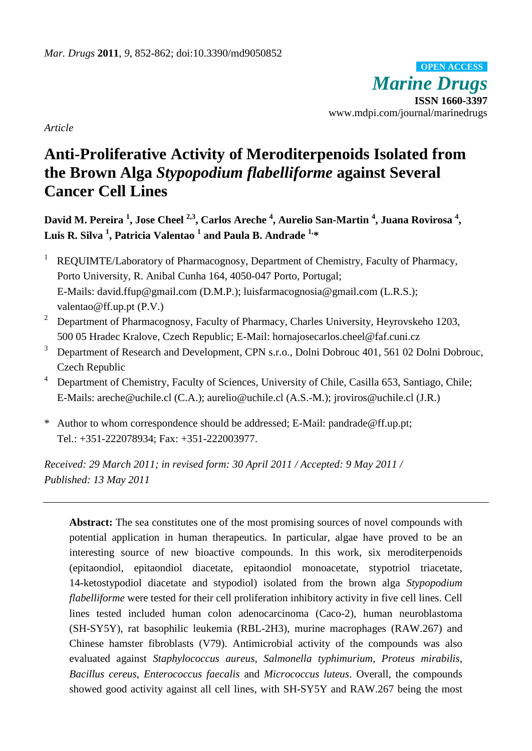*Marine Drugs* **ISSN 1660-3397** www.mdpi.com/journal/marinedrugs **OPEN ACCESS**

*Article*

# **Anti-Proliferative Activity of Meroditerpenoids Isolated from the Brown Alga** *Stypopodium flabelliforme* **against Several Cancer Cell Lines**

David M. Pereira <sup>1</sup>, Jose Cheel <sup>2,3</sup>, Carlos Areche <sup>4</sup>, Aurelio San-Martin <sup>4</sup>, Juana Rovirosa <sup>4</sup>, **Luis R. Silva <sup>1</sup> , Patricia Valentao 1 and Paula B. Andrade 1, \***

- <sup>1</sup> REQUIMTE/Laboratory of Pharmacognosy, Department of Chemistry, Faculty of Pharmacy, Porto University, R. Anibal Cunha 164, 4050-047 Porto, Portugal; E-Mails: david.ffup@gmail.com (D.M.P.); luisfarmacognosia@gmail.com (L.R.S.); valentao@ff.up.pt (P.V.)
- <sup>2</sup> Department of Pharmacognosy, Faculty of Pharmacy, Charles University, Heyrovskeho 1203, 500 05 Hradec Kralove, Czech Republic; E-Mail: hornajosecarlos.cheel@faf.cuni.cz
- <sup>3</sup> Department of Research and Development, CPN s.r.o., Dolni Dobrouc 401, 561 02 Dolni Dobrouc, Czech Republic
- <sup>4</sup> Department of Chemistry, Faculty of Sciences, University of Chile, Casilla 653, Santiago, Chile; E-Mails: areche@uchile.cl (C.A.); aurelio@uchile.cl (A.S.-M.); jroviros@uchile.cl (J.R.)
- \* Author to whom correspondence should be addressed; E-Mail: pandrade@ff.up.pt; Tel.: +351-222078934; Fax: +351-222003977.

*Received: 29 March 2011; in revised form: 30 April 2011 / Accepted: 9 May 2011 / Published: 13 May 2011* 

Abstract: The sea constitutes one of the most promising sources of novel compounds with potential application in human therapeutics. In particular, algae have proved to be an interesting source of new bioactive compounds. In this work, six meroditerpenoids (epitaondiol, epitaondiol diacetate, epitaondiol monoacetate, stypotriol triacetate, 14-ketostypodiol diacetate and stypodiol) isolated from the brown alga *Stypopodium flabelliforme* were tested for their cell proliferation inhibitory activity in five cell lines. Cell lines tested included human colon adenocarcinoma (Caco-2), human neuroblastoma (SH-SY5Y), rat basophilic leukemia (RBL-2H3), murine macrophages (RAW.267) and Chinese hamster fibroblasts (V79). Antimicrobial activity of the compounds was also evaluated against *Staphylococcus aureus*, *Salmonella typhimurium*, *Proteus mirabilis*, *Bacillus cereus*, *Enterococcus faecalis* and *Micrococcus luteus*. Overall, the compounds showed good activity against all cell lines, with SH-SY5Y and RAW.267 being the most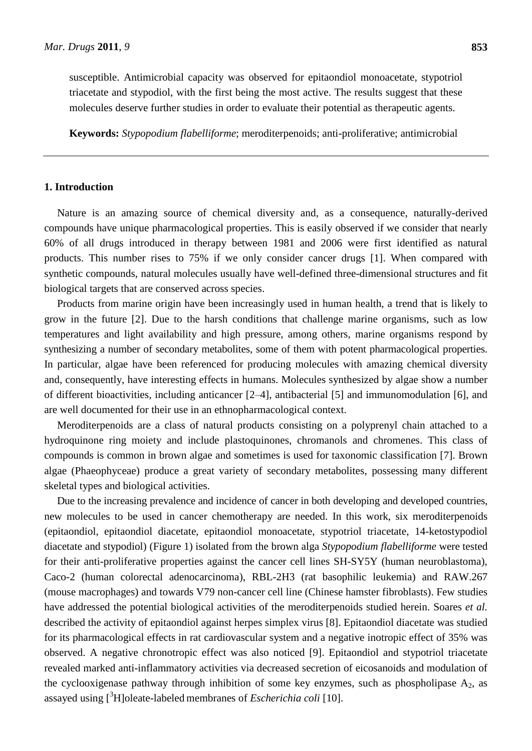susceptible. Antimicrobial capacity was observed for epitaondiol monoacetate, stypotriol triacetate and stypodiol, with the first being the most active. The results suggest that these molecules deserve further studies in order to evaluate their potential as therapeutic agents.

**Keywords:** *Stypopodium flabelliforme*; meroditerpenoids; anti-proliferative; antimicrobial

## **1. Introduction**

Nature is an amazing source of chemical diversity and, as a consequence, naturally-derived compounds have unique pharmacological properties. This is easily observed if we consider that nearly 60% of all drugs introduced in therapy between 1981 and 2006 were first identified as natural products. This number rises to 75% if we only consider cancer drugs [1]. When compared with synthetic compounds, natural molecules usually have well-defined three-dimensional structures and fit biological targets that are conserved across species.

Products from marine origin have been increasingly used in human health, a trend that is likely to grow in the future [2]. Due to the harsh conditions that challenge marine organisms, such as low temperatures and light availability and high pressure, among others, marine organisms respond by synthesizing a number of secondary metabolites, some of them with potent pharmacological properties. In particular, algae have been referenced for producing molecules with amazing chemical diversity and, consequently, have interesting effects in humans. Molecules synthesized by algae show a number of different bioactivities, including anticancer [2–4], antibacterial [5] and immunomodulation [6], and are well documented for their use in an ethnopharmacological context.

Meroditerpenoids are a class of natural products consisting on a polyprenyl chain attached to a hydroquinone ring moiety and include plastoquinones, chromanols and chromenes. This class of compounds is common in brown algae and sometimes is used for taxonomic classification [7]. Brown algae (Phaeophyceae) produce a great variety of secondary metabolites, possessing many different skeletal types and biological activities.

Due to the increasing prevalence and incidence of cancer in both developing and developed countries, new molecules to be used in cancer chemotherapy are needed. In this work, six meroditerpenoids (epitaondiol, epitaondiol diacetate, epitaondiol monoacetate, stypotriol triacetate, 14-ketostypodiol diacetate and stypodiol) (Figure 1) isolated from the brown alga *Stypopodium flabelliforme* were tested for their anti-proliferative properties against the cancer cell lines SH-SY5Y (human neuroblastoma), Caco-2 (human colorectal adenocarcinoma), RBL-2H3 (rat basophilic leukemia) and RAW.267 (mouse macrophages) and towards V79 non-cancer cell line (Chinese hamster fibroblasts). Few studies have addressed the potential biological activities of the meroditerpenoids studied herein. Soares *et al.* described the activity of epitaondiol against herpes simplex virus [8]. Epitaondiol diacetate was studied for its pharmacological effects in rat cardiovascular system and a negative inotropic effect of 35% was observed. A negative chronotropic effect was also noticed [9]. Epitaondiol and stypotriol triacetate revealed marked anti-inflammatory activities via decreased secretion of eicosanoids and modulation of the cyclooxigenase pathway through inhibition of some key enzymes, such as phospholipase  $A_2$ , as assayed using [ <sup>3</sup>H]oleate-labeled membranes of *Escherichia coli* [10].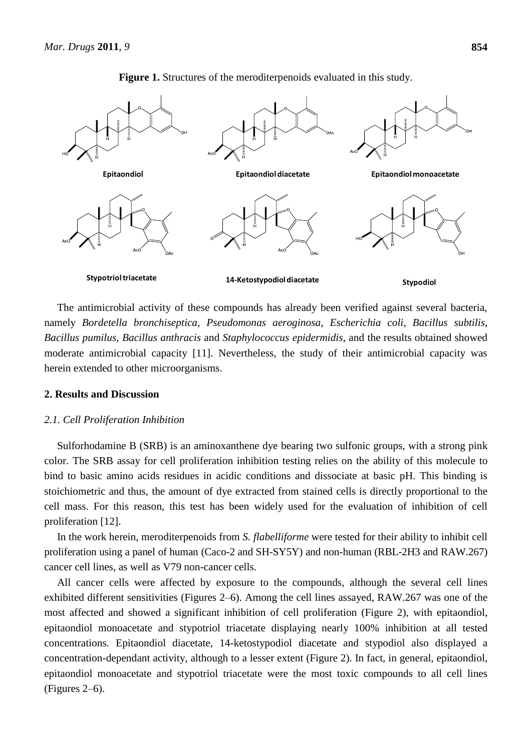

**Figure 1.** Structures of the meroditerpenoids evaluated in this study.

The antimicrobial activity of these compounds has already been verified against several bacteria, namely *Bordetella bronchiseptica*, *Pseudomonas aeroginosa*, *Escherichia coli*, *Bacillus subtilis*, *Bacillus pumilus*, *Bacillus anthracis* and *Staphylococcus epidermidis*, and the results obtained showed moderate antimicrobial capacity [11]. Nevertheless, the study of their antimicrobial capacity was herein extended to other microorganisms.

# **2. Results and Discussion**

# *2.1. Cell Proliferation Inhibition*

Sulforhodamine B (SRB) is an aminoxanthene dye bearing two sulfonic groups, with a strong pink color. The SRB assay for cell proliferation inhibition testing relies on the ability of this molecule to bind to basic amino acids residues in acidic conditions and dissociate at basic pH. This binding is stoichiometric and thus, the amount of dye extracted from stained cells is directly proportional to the cell mass. For this reason, this test has been widely used for the evaluation of inhibition of cell proliferation [12].

In the work herein, meroditerpenoids from *S. flabelliforme* were tested for their ability to inhibit cell proliferation using a panel of human (Caco-2 and SH-SY5Y) and non-human (RBL-2H3 and RAW.267) cancer cell lines, as well as V79 non-cancer cells.

All cancer cells were affected by exposure to the compounds, although the several cell lines exhibited different sensitivities (Figures 2–6). Among the cell lines assayed, RAW.267 was one of the most affected and showed a significant inhibition of cell proliferation (Figure 2), with epitaondiol, epitaondiol monoacetate and stypotriol triacetate displaying nearly 100% inhibition at all tested concentrations. Epitaondiol diacetate, 14-ketostypodiol diacetate and stypodiol also displayed a concentration-dependant activity, although to a lesser extent (Figure 2). In fact, in general, epitaondiol, epitaondiol monoacetate and stypotriol triacetate were the most toxic compounds to all cell lines (Figures 2–6).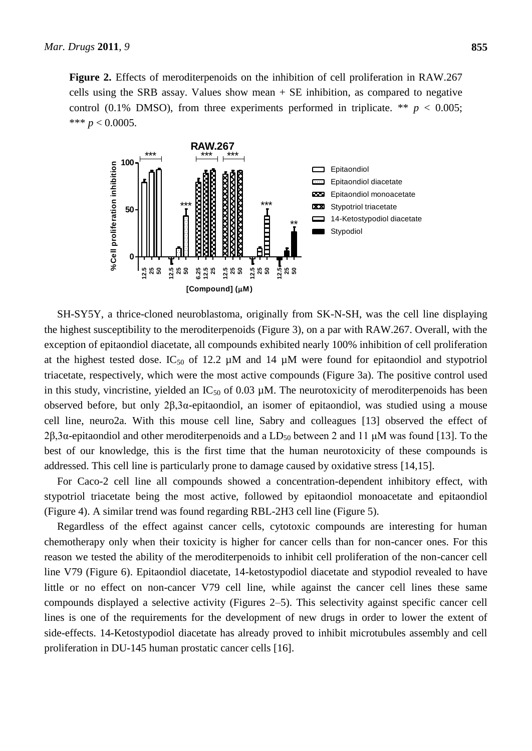**Figure 2.** Effects of meroditerpenoids on the inhibition of cell proliferation in RAW.267 cells using the SRB assay. Values show mean + SE inhibition, as compared to negative control (0.1% DMSO), from three experiments performed in triplicate. \*\*  $p < 0.005$ ; \*\*\*  $p < 0.0005$ .



SH-SY5Y, a thrice-cloned neuroblastoma, originally from SK-N-SH, was the cell line displaying the highest susceptibility to the meroditerpenoids (Figure 3), on a par with RAW.267. Overall, with the exception of epitaondiol diacetate, all compounds exhibited nearly 100% inhibition of cell proliferation at the highest tested dose. IC<sub>50</sub> of 12.2  $\mu$ M and 14  $\mu$ M were found for epitaondiol and stypotriol triacetate, respectively, which were the most active compounds (Figure 3a). The positive control used in this study, vincristine, yielded an  $IC_{50}$  of 0.03  $µM$ . The neurotoxicity of meroditerpenoids has been observed before, but only 2β,3α-epitaondiol, an isomer of epitaondiol, was studied using a mouse cell line, neuro2a. With this mouse cell line, Sabry and colleagues [13] observed the effect of 2β,3α-epitaondiol and other meroditerpenoids and a LD<sub>50</sub> between 2 and 11 μM was found [13]. To the best of our knowledge, this is the first time that the human neurotoxicity of these compounds is addressed. This cell line is particularly prone to damage caused by oxidative stress [14,15].

For Caco-2 cell line all compounds showed a concentration-dependent inhibitory effect, with stypotriol triacetate being the most active, followed by epitaondiol monoacetate and epitaondiol (Figure 4). A similar trend was found regarding RBL-2H3 cell line (Figure 5).

Regardless of the effect against cancer cells, cytotoxic compounds are interesting for human chemotherapy only when their toxicity is higher for cancer cells than for non-cancer ones. For this reason we tested the ability of the meroditerpenoids to inhibit cell proliferation of the non-cancer cell line V79 (Figure 6). Epitaondiol diacetate, 14-ketostypodiol diacetate and stypodiol revealed to have little or no effect on non-cancer V79 cell line, while against the cancer cell lines these same compounds displayed a selective activity (Figures 2–5). This selectivity against specific cancer cell lines is one of the requirements for the development of new drugs in order to lower the extent of side-effects. 14-Ketostypodiol diacetate has already proved to inhibit microtubules assembly and cell proliferation in DU-145 human prostatic cancer cells [16].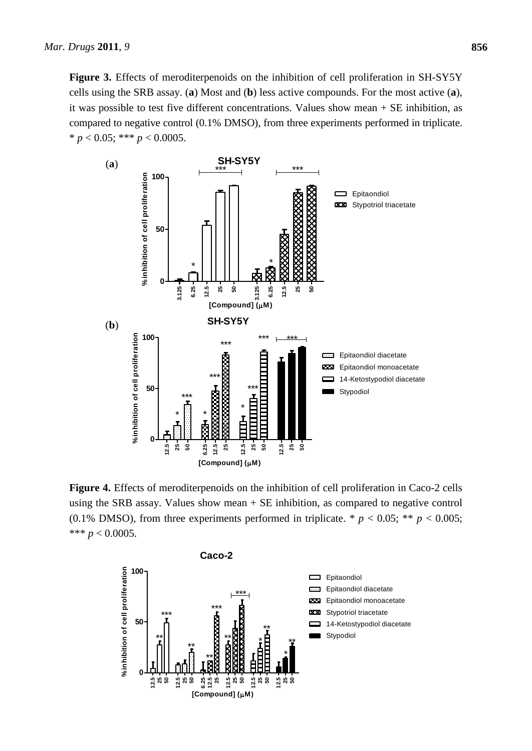**Figure 3.** Effects of meroditerpenoids on the inhibition of cell proliferation in SH-SY5Y cells using the SRB assay. (**a**) Most and (**b**) less active compounds. For the most active (**a**), it was possible to test five different concentrations. Values show mean + SE inhibition, as compared to negative control (0.1% DMSO), from three experiments performed in triplicate. \* *p* < 0.05; \*\*\* *p* < 0.0005.



**Figure 4.** Effects of meroditerpenoids on the inhibition of cell proliferation in Caco-2 cells using the SRB assay. Values show mean + SE inhibition, as compared to negative control (0.1% DMSO), from three experiments performed in triplicate. \*  $p < 0.05$ ; \*\*  $p < 0.005$ ; \*\*\* *p* < 0.0005.

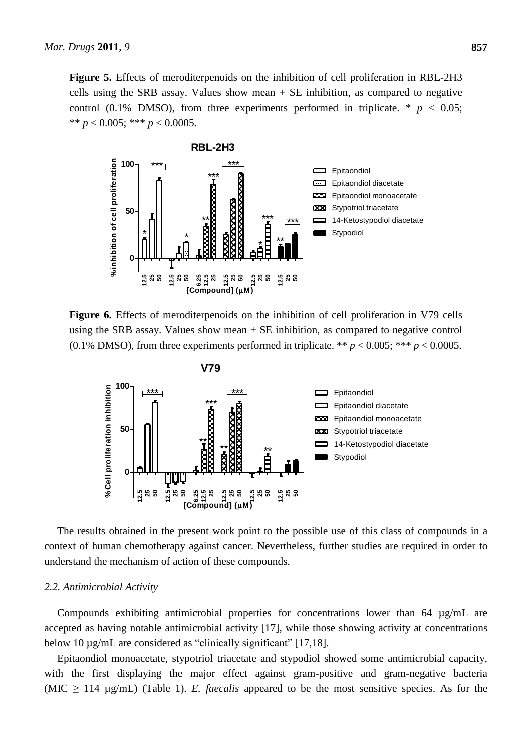**Figure 5.** Effects of meroditerpenoids on the inhibition of cell proliferation in RBL-2H3 cells using the SRB assay. Values show mean + SE inhibition, as compared to negative control (0.1% DMSO), from three experiments performed in triplicate.  $*$   $p < 0.05$ ; \*\*  $p < 0.005$ ; \*\*\*  $p < 0.0005$ .



**Figure 6.** Effects of meroditerpenoids on the inhibition of cell proliferation in V79 cells using the SRB assay. Values show mean + SE inhibition, as compared to negative control (0.1% DMSO), from three experiments performed in triplicate. \*\*  $p < 0.005$ ; \*\*\*  $p < 0.0005$ .



The results obtained in the present work point to the possible use of this class of compounds in a context of human chemotherapy against cancer. Nevertheless, further studies are required in order to understand the mechanism of action of these compounds.

#### *2.2. Antimicrobial Activity*

Compounds exhibiting antimicrobial properties for concentrations lower than 64 µg/mL are accepted as having notable antimicrobial activity [17], while those showing activity at concentrations below 10 µg/mL are considered as "clinically significant" [17,18].

Epitaondiol monoacetate, stypotriol triacetate and stypodiol showed some antimicrobial capacity, with the first displaying the major effect against gram-positive and gram-negative bacteria (MIC  $\geq$  114 µg/mL) (Table 1). *E. faecalis* appeared to be the most sensitive species. As for the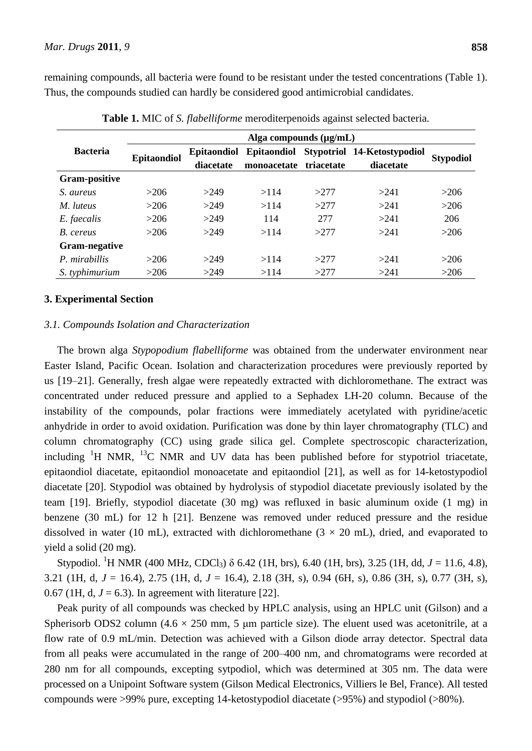remaining compounds, all bacteria were found to be resistant under the tested concentrations (Table 1). Thus, the compounds studied can hardly be considered good antimicrobial candidates.

|                      | Alga compounds $(\mu g/mL)$ |                    |                    |            |                             |                  |
|----------------------|-----------------------------|--------------------|--------------------|------------|-----------------------------|------------------|
| <b>Bacteria</b>      | <b>Epitaondiol</b>          | <b>Epitaondiol</b> | <b>Epitaondiol</b> |            | Stypotriol 14-Ketostypodiol | <b>Stypodiol</b> |
|                      |                             | diacetate          | monoacetate        | triacetate | diacetate                   |                  |
| <b>Gram-positive</b> |                             |                    |                    |            |                             |                  |
| S. aureus            | >206                        | >249               | >114               | >277       | >241                        | >206             |
| M. luteus            | >206                        | >249               | >114               | >277       | >241                        | >206             |
| E. faecalis          | >206                        | >249               | 114                | 277        | >241                        | 206              |
| B. cereus            | >206                        | >249               | >114               | >277       | >241                        | >206             |
| <b>Gram-negative</b> |                             |                    |                    |            |                             |                  |
| P. mirabillis        | >206                        | >249               | >114               | >277       | >241                        | >206             |
| S. typhimurium       | >206                        | >249               | >114               | >277       | >241                        | >206             |

**Table 1.** MIC of *S. flabelliforme* meroditerpenoids against selected bacteria.

# **3. Experimental Section**

# *3.1. Compounds Isolation and Characterization*

The brown alga *Stypopodium flabelliforme* was obtained from the underwater environment near Easter Island, Pacific Ocean. Isolation and characterization procedures were previously reported by us [19–21]. Generally, fresh algae were repeatedly extracted with dichloromethane. The extract was concentrated under reduced pressure and applied to a Sephadex LH-20 column. Because of the instability of the compounds, polar fractions were immediately acetylated with pyridine/acetic anhydride in order to avoid oxidation. Purification was done by thin layer chromatography (TLC) and column chromatography (CC) using grade silica gel. Complete spectroscopic characterization, including  ${}^{1}H$  NMR,  ${}^{13}C$  NMR and UV data has been published before for stypotriol triacetate, epitaondiol diacetate, epitaondiol monoacetate and epitaondiol [21], as well as for 14-ketostypodiol diacetate [20]. Stypodiol was obtained by hydrolysis of stypodiol diacetate previously isolated by the team [19]. Briefly, stypodiol diacetate (30 mg) was refluxed in basic aluminum oxide (1 mg) in benzene (30 mL) for 12 h [21]. Benzene was removed under reduced pressure and the residue dissolved in water (10 mL), extracted with dichloromethane ( $3 \times 20$  mL), dried, and evaporated to yield a solid (20 mg).

Stypodiol. <sup>1</sup>H NMR (400 MHz, CDCl<sub>3</sub>)  $\delta$  6.42 (1H, brs), 6.40 (1H, brs), 3.25 (1H, dd, *J* = 11.6, 4.8), 3.21 (1H, d, *J* = 16.4), 2.75 (1H, d, *J* = 16.4), 2.18 (3H, s), 0.94 (6H, s), 0.86 (3H, s), 0.77 (3H, s), 0.67 (1H, d,  $J = 6.3$ ). In agreement with literature [22].

Peak purity of all compounds was checked by HPLC analysis, using an HPLC unit (Gilson) and a Spherisorb ODS2 column (4.6  $\times$  250 mm, 5 µm particle size). The eluent used was acetonitrile, at a flow rate of 0.9 mL/min. Detection was achieved with a Gilson diode array detector. Spectral data from all peaks were accumulated in the range of 200–400 nm, and chromatograms were recorded at 280 nm for all compounds, excepting sytpodiol, which was determined at 305 nm. The data were processed on a Unipoint Software system (Gilson Medical Electronics, Villiers le Bel, France). All tested compounds were >99% pure, excepting 14-ketostypodiol diacetate (>95%) and stypodiol (>80%).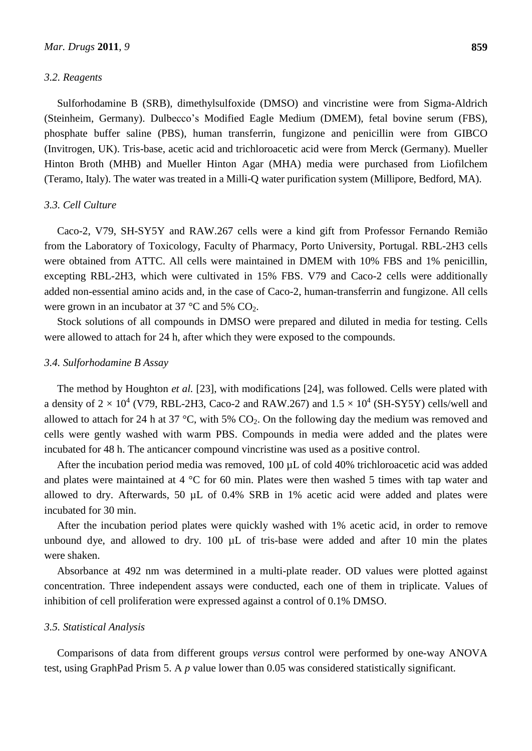#### *3.2. Reagents*

Sulforhodamine B (SRB), dimethylsulfoxide (DMSO) and vincristine were from Sigma-Aldrich (Steinheim, Germany). Dulbecco's Modified Eagle Medium (DMEM), fetal bovine serum (FBS), phosphate buffer saline (PBS), human transferrin, fungizone and penicillin were from GIBCO (Invitrogen, UK). Tris-base, acetic acid and trichloroacetic acid were from Merck (Germany). Mueller Hinton Broth (MHB) and Mueller Hinton Agar (MHA) media were purchased from Liofilchem (Teramo, Italy). The water was treated in a Milli-Q water purification system (Millipore, Bedford, MA).

# *3.3. Cell Culture*

Caco-2, V79, SH-SY5Y and RAW.267 cells were a kind gift from Professor Fernando Remião from the Laboratory of Toxicology, Faculty of Pharmacy, Porto University, Portugal. RBL-2H3 cells were obtained from ATTC. All cells were maintained in DMEM with 10% FBS and 1% penicillin, excepting RBL-2H3, which were cultivated in 15% FBS. V79 and Caco-2 cells were additionally added non-essential amino acids and, in the case of Caco-2, human-transferrin and fungizone. All cells were grown in an incubator at 37  $\degree$ C and 5% CO<sub>2</sub>.

Stock solutions of all compounds in DMSO were prepared and diluted in media for testing. Cells were allowed to attach for 24 h, after which they were exposed to the compounds.

#### *3.4. Sulforhodamine B Assay*

The method by Houghton *et al.* [23], with modifications [24], was followed. Cells were plated with a density of 2  $\times 10^4$  (V79, RBL-2H3, Caco-2 and RAW.267) and 1.5  $\times 10^4$  (SH-SY5Y) cells/well and allowed to attach for 24 h at 37 °C, with 5%  $CO<sub>2</sub>$ . On the following day the medium was removed and cells were gently washed with warm PBS. Compounds in media were added and the plates were incubated for 48 h. The anticancer compound vincristine was used as a positive control.

After the incubation period media was removed, 100 µL of cold 40% trichloroacetic acid was added and plates were maintained at 4  $\degree$ C for 60 min. Plates were then washed 5 times with tap water and allowed to dry. Afterwards, 50 µL of 0.4% SRB in 1% acetic acid were added and plates were incubated for 30 min.

After the incubation period plates were quickly washed with 1% acetic acid, in order to remove unbound dye, and allowed to dry. 100 µL of tris-base were added and after 10 min the plates were shaken.

Absorbance at 492 nm was determined in a multi-plate reader. OD values were plotted against concentration. Three independent assays were conducted, each one of them in triplicate. Values of inhibition of cell proliferation were expressed against a control of 0.1% DMSO.

#### *3.5. Statistical Analysis*

Comparisons of data from different groups *versus* control were performed by one-way ANOVA test, using GraphPad Prism 5. A *p* value lower than 0.05 was considered statistically significant.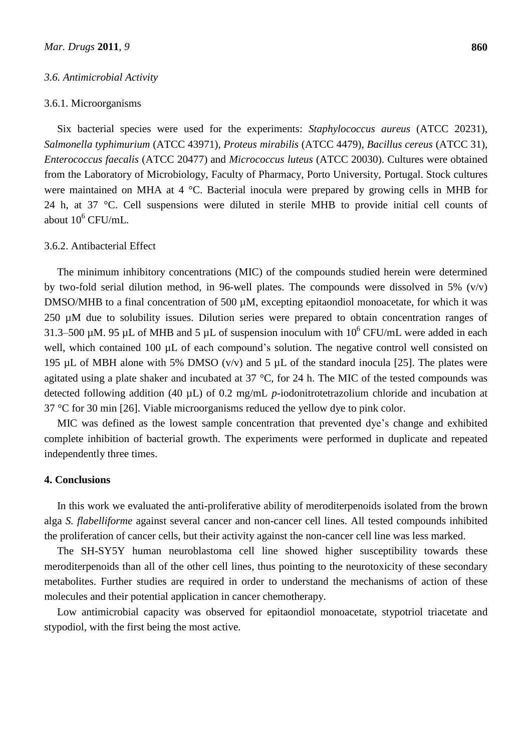#### *3.6. Antimicrobial Activity*

## 3.6.1. Microorganisms

Six bacterial species were used for the experiments: *Staphylococcus aureus* (ATCC 20231), *Salmonella typhimurium* (ATCC 43971), *Proteus mirabilis* (ATCC 4479), *Bacillus cereus* (ATCC 31), *Enterococcus faecalis* (ATCC 20477) and *Micrococcus luteus* (ATCC 20030). Cultures were obtained from the Laboratory of Microbiology, Faculty of Pharmacy, Porto University, Portugal. Stock cultures were maintained on MHA at 4 °C. Bacterial inocula were prepared by growing cells in MHB for 24 h, at 37 °C. Cell suspensions were diluted in sterile MHB to provide initial cell counts of about  $10^6$  CFU/mL.

## 3.6.2. Antibacterial Effect

The minimum inhibitory concentrations (MIC) of the compounds studied herein were determined by two-fold serial dilution method, in 96-well plates. The compounds were dissolved in 5%  $(v/v)$ DMSO/MHB to a final concentration of 500  $\mu$ M, excepting epitaondiol monoacetate, for which it was 250 µM due to solubility issues. Dilution series were prepared to obtain concentration ranges of 31.3–500 µM. 95 µL of MHB and 5 µL of suspension inoculum with  $10^6$  CFU/mL were added in each well, which contained 100 µL of each compound's solution. The negative control well consisted on 195 µL of MBH alone with 5% DMSO (v/v) and 5 µL of the standard inocula [25]. The plates were agitated using a plate shaker and incubated at  $37 \text{ °C}$ , for 24 h. The MIC of the tested compounds was detected following addition (40 µL) of 0.2 mg/mL *p*-iodonitrotetrazolium chloride and incubation at  $37 \text{ °C}$  for 30 min [26]. Viable microorganisms reduced the yellow dye to pink color.

MIC was defined as the lowest sample concentration that prevented dye's change and exhibited complete inhibition of bacterial growth. The experiments were performed in duplicate and repeated independently three times.

# **4. Conclusions**

In this work we evaluated the anti-proliferative ability of meroditerpenoids isolated from the brown alga *S. flabelliforme* against several cancer and non-cancer cell lines. All tested compounds inhibited the proliferation of cancer cells, but their activity against the non-cancer cell line was less marked.

The SH-SY5Y human neuroblastoma cell line showed higher susceptibility towards these meroditerpenoids than all of the other cell lines, thus pointing to the neurotoxicity of these secondary metabolites. Further studies are required in order to understand the mechanisms of action of these molecules and their potential application in cancer chemotherapy.

Low antimicrobial capacity was observed for epitaondiol monoacetate, stypotriol triacetate and stypodiol, with the first being the most active.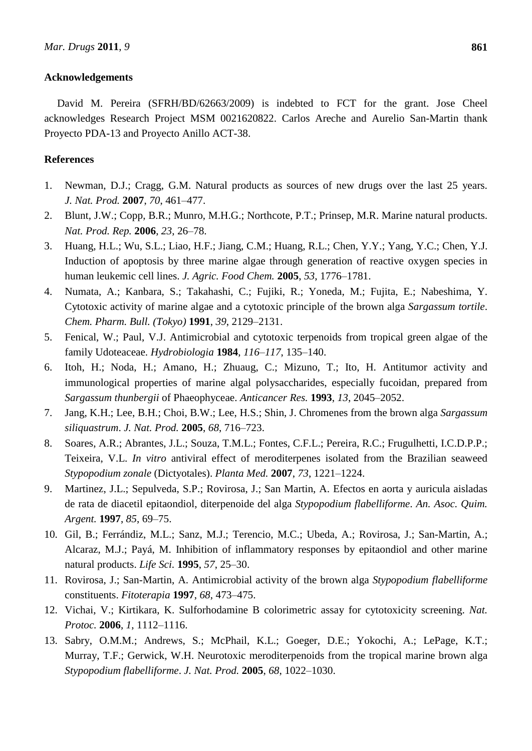# **Acknowledgements**

David M. Pereira (SFRH/BD/62663/2009) is indebted to FCT for the grant. Jose Cheel acknowledges Research Project MSM 0021620822. Carlos Areche and Aurelio San-Martin thank Proyecto PDA-13 and Proyecto Anillo ACT-38.

# **References**

- 1. Newman, D.J.; Cragg, G.M. Natural products as sources of new drugs over the last 25 years. *J. Nat. Prod.* **2007**, *70*, 461–477.
- 2. Blunt, J.W.; Copp, B.R.; Munro, M.H.G.; Northcote, P.T.; Prinsep, M.R. Marine natural products. *Nat. Prod. Rep.* **2006**, *23*, 26–78.
- 3. Huang, H.L.; Wu, S.L.; Liao, H.F.; Jiang, C.M.; Huang, R.L.; Chen, Y.Y.; Yang, Y.C.; Chen, Y.J. Induction of apoptosis by three marine algae through generation of reactive oxygen species in human leukemic cell lines. *J. Agric. Food Chem.* **2005**, *53*, 1776–1781.
- 4. Numata, A.; Kanbara, S.; Takahashi, C.; Fujiki, R.; Yoneda, M.; Fujita, E.; Nabeshima, Y. Cytotoxic activity of marine algae and a cytotoxic principle of the brown alga *Sargassum tortile*. *Chem. Pharm. Bull. (Tokyo)* **1991**, *39*, 2129–2131.
- 5. Fenical, W.; Paul, V.J. Antimicrobial and cytotoxic terpenoids from tropical green algae of the family Udoteaceae. *Hydrobiologia* **1984**, *116–117*, 135–140.
- 6. Itoh, H.; Noda, H.; Amano, H.; Zhuaug, C.; Mizuno, T.; Ito, H. Antitumor activity and immunological properties of marine algal polysaccharides, especially fucoidan, prepared from *Sargassum thunbergii* of Phaeophyceae. *Anticancer Res.* **1993**, *13*, 2045–2052.
- 7. Jang, K.H.; Lee, B.H.; Choi, B.W.; Lee, H.S.; Shin, J. Chromenes from the brown alga *Sargassum siliquastrum*. *J. Nat. Prod.* **2005**, *68*, 716–723.
- 8. Soares, A.R.; Abrantes, J.L.; Souza, T.M.L.; Fontes, C.F.L.; Pereira, R.C.; Frugulhetti, I.C.D.P.P.; Teixeira, V.L. *In vitro* antiviral effect of meroditerpenes isolated from the Brazilian seaweed *Stypopodium zonale* (Dictyotales). *Planta Med.* **2007**, *73*, 1221–1224.
- 9. Martinez, J.L.; Sepulveda, S.P.; Rovirosa, J.; San Martin, A. Efectos en aorta y auricula aisladas de rata de diacetil epitaondiol, diterpenoide del alga *Stypopodium flabelliforme*. *An. Asoc. Quim. Argent.* **1997**, *85*, 69–75.
- 10. Gil, B.; Ferrándiz, M.L.; Sanz, M.J.; Terencio, M.C.; Ubeda, A.; Rovirosa, J.; San-Martin, A.; Alcaraz, M.J.; Payá, M. Inhibition of inflammatory responses by epitaondiol and other marine natural products. *Life Sci.* **1995**, *57*, 25–30.
- 11. Rovirosa, J.; San-Martin, A. Antimicrobial activity of the brown alga *Stypopodium flabelliforme* constituents. *Fitoterapia* **1997**, *68*, 473–475.
- 12. Vichai, V.; Kirtikara, K. Sulforhodamine B colorimetric assay for cytotoxicity screening. *Nat. Protoc.* **2006**, *1*, 1112–1116.
- 13. Sabry, O.M.M.; Andrews, S.; McPhail, K.L.; Goeger, D.E.; Yokochi, A.; LePage, K.T.; Murray, T.F.; Gerwick, W.H. Neurotoxic meroditerpenoids from the tropical marine brown alga *Stypopodium flabelliforme*. *J. Nat. Prod.* **2005**, *68*, 1022–1030.